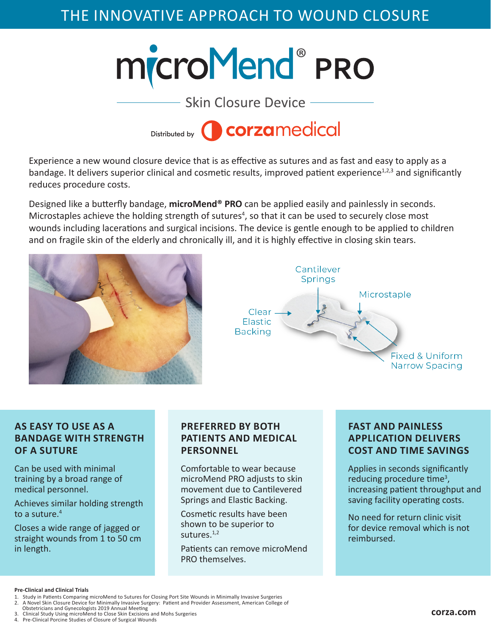# THE INNOVATIVE APPROACH TO WOUND CLOSURE





Experience a new wound closure device that is as effective as sutures and as fast and easy to apply as a bandage. It delivers superior clinical and cosmetic results, improved patient experience<sup>1,2,3</sup> and significantly reduces procedure costs.

Designed like a butterfly bandage, **microMend® PRO** can be applied easily and painlessly in seconds. Microstaples achieve the holding strength of sutures<sup>4</sup>, so that it can be used to securely close most wounds including lacerations and surgical incisions. The device is gentle enough to be applied to children and on fragile skin of the elderly and chronically ill, and it is highly effective in closing skin tears.





## **AS EASY TO USE AS A BANDAGE WITH STRENGTH OF A SUTURE**

Can be used with minimal training by a broad range of medical personnel.

Achieves similar holding strength to a suture. $4$ 

Closes a wide range of jagged or straight wounds from 1 to 50 cm in length.

# **PREFERRED BY BOTH PATIENTS AND MEDICAL PERSONNEL**

Comfortable to wear because microMend PRO adjusts to skin movement due to Cantilevered Springs and Elastic Backing.

Cosmetic results have been shown to be superior to sutures. $1,2$ 

Patients can remove microMend PRO themselves.

## **FAST AND PAINLESS APPLICATION DELIVERS COST AND TIME SAVINGS**

Applies in seconds significantly reducing procedure time<sup>3</sup>, increasing patient throughput and saving facility operating costs.

No need for return clinic visit for device removal which is not reimbursed.

#### **Pre-Clinical and Clinical Trials**

- 1. Study in Patients Comparing microMend to Sutures for Closing Port Site Wounds in Minimally Invasive Surgeries<br>2. A Novel Skin Closure Device for Minimally Invasive Surgery: Patient and Provider Assessment, American Coll
- 2. A Novel Skin Closure Device for Minimally Invasive Surgery: Patient and Provider Assessment, American College of
- Obstetricians and Gynecologists 2019 Annual Meeting 3. Clinical Study Using microMend to Close Skin Excisions and Mohs Surgeries
- 4. Pre-Clinical Porcine Studies of Closure of Surgical Wounds